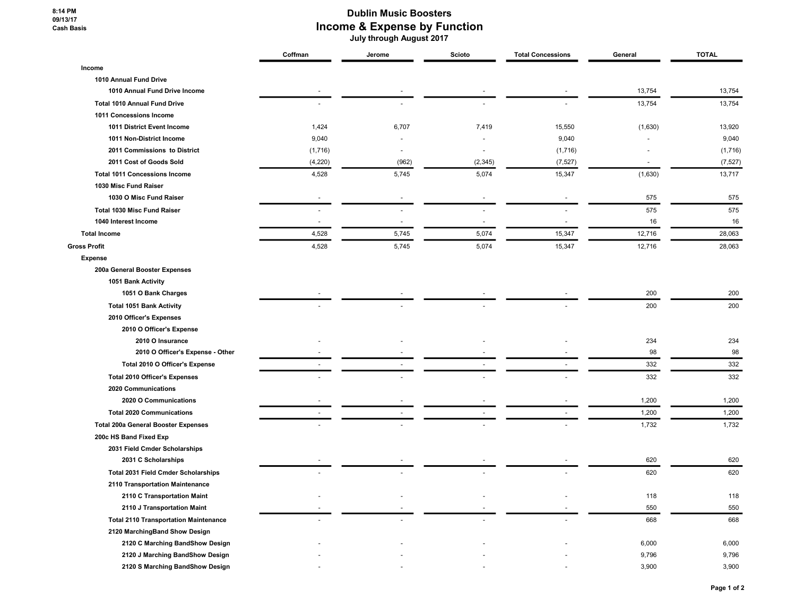8:14 PM 09/13/17 Cash Basis

## Dublin Music Boosters Income & Expense by Function

July through August 2017

|                                              | Coffman | Jerome | Scioto   | <b>Total Concessions</b> | General | <b>TOTAL</b> |
|----------------------------------------------|---------|--------|----------|--------------------------|---------|--------------|
| Income                                       |         |        |          |                          |         |              |
| 1010 Annual Fund Drive                       |         |        |          |                          |         |              |
| 1010 Annual Fund Drive Income                |         |        |          |                          | 13,754  | 13,754       |
| <b>Total 1010 Annual Fund Drive</b>          |         |        |          |                          | 13,754  | 13,754       |
| 1011 Concessions Income                      |         |        |          |                          |         |              |
| 1011 District Event Income                   | 1,424   | 6,707  | 7,419    | 15,550                   | (1,630) | 13,920       |
| 1011 Non-District Income                     | 9,040   |        |          | 9,040                    |         | 9,040        |
| 2011 Commissions to District                 | (1,716) |        |          | (1,716)                  |         | (1,716)      |
| 2011 Cost of Goods Sold                      | (4,220) | (962)  | (2, 345) | (7, 527)                 | $\sim$  | (7, 527)     |
| <b>Total 1011 Concessions Income</b>         | 4,528   | 5,745  | 5,074    | 15,347                   | (1,630) | 13,717       |
| 1030 Misc Fund Raiser                        |         |        |          |                          |         |              |
| 1030 O Misc Fund Raiser                      |         |        |          |                          | 575     | 575          |
| Total 1030 Misc Fund Raiser                  |         |        |          |                          | 575     | 575          |
| 1040 Interest Income                         |         |        |          |                          | 16      | 16           |
| <b>Total Income</b>                          | 4,528   | 5,745  | 5,074    | 15,347                   | 12,716  | 28,063       |
| <b>Gross Profit</b>                          | 4,528   | 5,745  | 5,074    | 15,347                   | 12,716  | 28,063       |
| <b>Expense</b>                               |         |        |          |                          |         |              |
| 200a General Booster Expenses                |         |        |          |                          |         |              |
| 1051 Bank Activity                           |         |        |          |                          |         |              |
| 1051 O Bank Charges                          |         |        |          |                          | 200     | 200          |
| <b>Total 1051 Bank Activity</b>              |         |        |          |                          | 200     | 200          |
| 2010 Officer's Expenses                      |         |        |          |                          |         |              |
| 2010 O Officer's Expense                     |         |        |          |                          |         |              |
| 2010 O Insurance                             |         |        |          |                          | 234     | 234          |
| 2010 O Officer's Expense - Other             |         |        |          |                          | 98      | 98           |
| Total 2010 O Officer's Expense               |         |        |          |                          | 332     | 332          |
| <b>Total 2010 Officer's Expenses</b>         |         |        |          |                          | 332     | 332          |
| 2020 Communications                          |         |        |          |                          |         |              |
| 2020 O Communications                        |         |        |          |                          | 1,200   | 1,200        |
| <b>Total 2020 Communications</b>             |         |        |          |                          | 1,200   | 1,200        |
| <b>Total 200a General Booster Expenses</b>   |         |        |          |                          | 1,732   | 1,732        |
| 200c HS Band Fixed Exp                       |         |        |          |                          |         |              |
| 2031 Field Cmder Scholarships                |         |        |          |                          |         |              |
| 2031 C Scholarships                          |         |        |          |                          | 620     | 620          |
| <b>Total 2031 Field Cmder Scholarships</b>   |         |        |          |                          | 620     | 620          |
| 2110 Transportation Maintenance              |         |        |          |                          |         |              |
| 2110 C Transportation Maint                  |         |        |          |                          | 118     | 118          |
| 2110 J Transportation Maint                  |         |        |          |                          | 550     | 550          |
| <b>Total 2110 Transportation Maintenance</b> |         |        |          |                          | 668     | 668          |
| 2120 MarchingBand Show Design                |         |        |          |                          |         |              |
| 2120 C Marching BandShow Design              |         |        |          |                          | 6,000   | 6,000        |
| 2120 J Marching BandShow Design              |         |        |          |                          | 9,796   | 9,796        |
| 2120 S Marching BandShow Design              |         |        |          |                          | 3,900   | 3,900        |